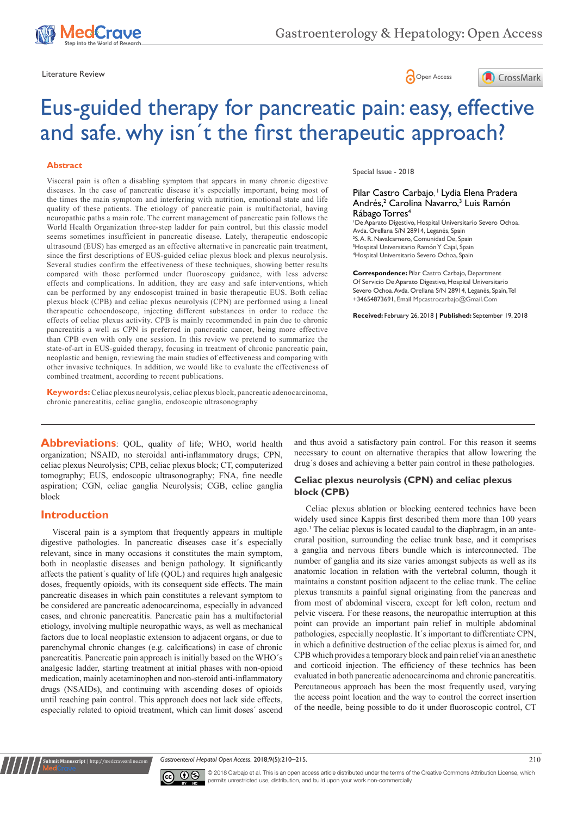





# Eus-guided therapy for pancreatic pain: easy, effective and safe. why isn´t the first therapeutic approach?

### **Abstract**

Visceral pain is often a disabling symptom that appears in many chronic digestive diseases. In the case of pancreatic disease it´s especially important, being most of the times the main symptom and interfering with nutrition, emotional state and life quality of these patients. The etiology of pancreatic pain is multifactorial, having neuropathic paths a main role. The current management of pancreatic pain follows the World Health Organization three-step ladder for pain control, but this classic model seems sometimes insufficient in pancreatic disease. Lately, therapeutic endoscopic ultrasound (EUS) has emerged as an effective alternative in pancreatic pain treatment, since the first descriptions of EUS-guided celiac plexus block and plexus neurolysis. Several studies confirm the effectiveness of these techniques, showing better results compared with those performed under fluoroscopy guidance, with less adverse effects and complications. In addition, they are easy and safe interventions, which can be performed by any endoscopist trained in basic therapeutic EUS. Both celiac plexus block (CPB) and celiac plexus neurolysis (CPN) are performed using a lineal therapeutic echoendoscope, injecting different substances in order to reduce the effects of celiac plexus activity. CPB is mainly recommended in pain due to chronic pancreatitis a well as CPN is preferred in pancreatic cancer, being more effective than CPB even with only one session. In this review we pretend to summarize the state-of-art in EUS-guided therapy, focusing in treatment of chronic pancreatic pain, neoplastic and benign, reviewing the main studies of effectiveness and comparing with other invasive techniques. In addition, we would like to evaluate the effectiveness of combined treatment, according to recent publications.

**Keywords:** Celiac plexus neurolysis, celiac plexus block, pancreatic adenocarcinoma, chronic pancreatitis, celiac ganglia, endoscopic ultrasonography

#### Special Issue - 2018

## Pilar Castro Carbajo, <sup>†</sup> Lydia Elena Pradera Andrés,<sup>2</sup> Carolina Navarro,<sup>3</sup> Luis Ramón Rábago Torres<sup>4</sup>

 De Aparato Digestivo, Hospital Universitario Severo Ochoa. Avda. Orellana S/N 28914, Leganés, Spain S. A. R. Navalcarnero, Comunidad De, Spain Hospital Universitario Ramón Y Cajal, Spain Hospital Universitario Severo Ochoa, Spain

**Correspondence:** Pilar Castro Carbajo, Department Of Servicio De Aparato Digestivo, Hospital Universitario Severo Ochoa. Avda. Orellana S/N 28914, Leganés, Spain, Tel +34654873691, Email Mpcastrocarbajo@Gmail.Com

**Received:** February 26, 2018 | **Published:** September 19, 2018

**Abbreviations**: QOL, quality of life; WHO, world health organization; NSAID, no steroidal anti-inflammatory drugs; CPN, celiac plexus Neurolysis; CPB, celiac plexus block; CT, computerized tomography; EUS, endoscopic ultrasonography; FNA, fine needle aspiration; CGN, celiac ganglia Neurolysis; CGB, celiac ganglia block

## **Introduction**

**ubmit Manuscript** | http://medcrav

Visceral pain is a symptom that frequently appears in multiple digestive pathologies. In pancreatic diseases case it´s especially relevant, since in many occasions it constitutes the main symptom, both in neoplastic diseases and benign pathology. It significantly affects the patient´s quality of life (QOL) and requires high analgesic doses, frequently opioids, with its consequent side effects. The main pancreatic diseases in which pain constitutes a relevant symptom to be considered are pancreatic adenocarcinoma, especially in advanced cases, and chronic pancreatitis. Pancreatic pain has a multifactorial etiology, involving multiple neuropathic ways, as well as mechanical factors due to local neoplastic extension to adjacent organs, or due to parenchymal chronic changes (e.g. calcifications) in case of chronic pancreatitis. Pancreatic pain approach is initially based on the WHO´s analgesic ladder, starting treatment at initial phases with non-opioid medication, mainly acetaminophen and non-steroid anti-inflammatory drugs (NSAIDs), and continuing with ascending doses of opioids until reaching pain control. This approach does not lack side effects, especially related to opioid treatment, which can limit doses´ ascend

and thus avoid a satisfactory pain control. For this reason it seems necessary to count on alternative therapies that allow lowering the drug´s doses and achieving a better pain control in these pathologies.

## **Celiac plexus neurolysis (CPN) and celiac plexus block (CPB)**

Celiac plexus ablation or blocking centered technics have been widely used since Kappis first described them more than 100 years ago.<sup>1</sup> The celiac plexus is located caudal to the diaphragm, in an antecrural position, surrounding the celiac trunk base, and it comprises a ganglia and nervous fibers bundle which is interconnected. The number of ganglia and its size varies amongst subjects as well as its anatomic location in relation with the vertebral column, though it maintains a constant position adjacent to the celiac trunk. The celiac plexus transmits a painful signal originating from the pancreas and from most of abdominal viscera, except for left colon, rectum and pelvic viscera. For these reasons, the neuropathic interruption at this point can provide an important pain relief in multiple abdominal pathologies, especially neoplastic. It´s important to differentiate CPN, in which a definitive destruction of the celiac plexus is aimed for, and CPB which provides a temporary block and pain relief via an anesthetic and corticoid injection. The efficiency of these technics has been evaluated in both pancreatic adenocarcinoma and chronic pancreatitis. Percutaneous approach has been the most frequently used, varying the access point location and the way to control the correct insertion of the needle, being possible to do it under fluoroscopic control, CT

*Gastroenterol Hepatol Open Access.* 2018;9(5):210–215.



© 2018 Carbajo et al. This is an open access article distributed under the terms of the [Creative Commons Attribution License,](https://creativecommons.org/licenses/by-nc/4.0/) which permits unrestricted use, distribution, and build upon your work non-commercially.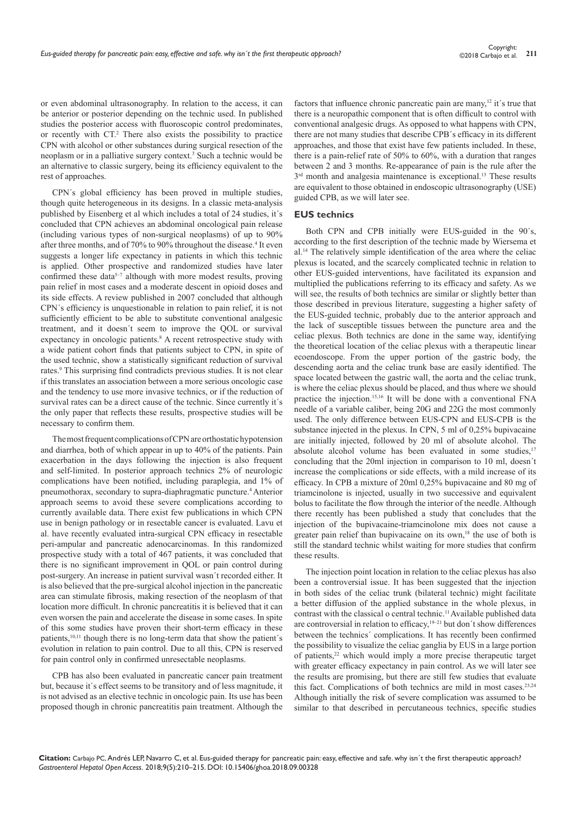or even abdominal ultrasonography. In relation to the access, it can be anterior or posterior depending on the technic used. In published studies the posterior access with fluoroscopic control predominates, or recently with CT.<sup>2</sup> There also exists the possibility to practice CPN with alcohol or other substances during surgical resection of the neoplasm or in a palliative surgery context.<sup>3</sup> Such a technic would be an alternative to classic surgery, being its efficiency equivalent to the rest of approaches.

CPN´s global efficiency has been proved in multiple studies, though quite heterogeneous in its designs. In a classic meta-analysis published by Eisenberg et al which includes a total of 24 studies, it´s concluded that CPN achieves an abdominal oncological pain release (including various types of non-surgical neoplasms) of up to 90% after three months, and of 70% to 90% throughout the disease.<sup>4</sup> It even suggests a longer life expectancy in patients in which this technic is applied. Other prospective and randomized studies have later confirmed these data<sup>5-7</sup> although with more modest results, proving pain relief in most cases and a moderate descent in opioid doses and its side effects. A review published in 2007 concluded that although CPN´s efficiency is unquestionable in relation to pain relief, it is not sufficiently efficient to be able to substitute conventional analgesic treatment, and it doesn´t seem to improve the QOL or survival expectancy in oncologic patients.<sup>8</sup> A recent retrospective study with a wide patient cohort finds that patients subject to CPN, in spite of the used technic, show a statistically significant reduction of survival rates.<sup>9</sup> This surprising find contradicts previous studies. It is not clear if this translates an association between a more serious oncologic case and the tendency to use more invasive technics, or if the reduction of survival rates can be a direct cause of the technic. Since currently it´s the only paper that reflects these results, prospective studies will be necessary to confirm them.

The most frequent complications of CPN are orthostatic hypotension and diarrhea, both of which appear in up to 40% of the patients. Pain exacerbation in the days following the injection is also frequent and self-limited. In posterior approach technics 2% of neurologic complications have been notified, including paraplegia, and 1% of pneumothorax, secondary to supra-diaphragmatic puncture.4 Anterior approach seems to avoid these severe complications according to currently available data. There exist few publications in which CPN use in benign pathology or in resectable cancer is evaluated. Lavu et al. have recently evaluated intra-surgical CPN efficacy in resectable peri-ampular and pancreatic adenocarcinomas. In this randomized prospective study with a total of 467 patients, it was concluded that there is no significant improvement in QOL or pain control during post-surgery. An increase in patient survival wasn´t recorded either. It is also believed that the pre-surgical alcohol injection in the pancreatic area can stimulate fibrosis, making resection of the neoplasm of that location more difficult. In chronic pancreatitis it is believed that it can even worsen the pain and accelerate the disease in some cases. In spite of this some studies have proven their short-term efficacy in these patients,<sup>10,11</sup> though there is no long-term data that show the patient's evolution in relation to pain control. Due to all this, CPN is reserved for pain control only in confirmed unresectable neoplasms.

CPB has also been evaluated in pancreatic cancer pain treatment but, because it´s effect seems to be transitory and of less magnitude, it is not advised as an elective technic in oncologic pain. Its use has been proposed though in chronic pancreatitis pain treatment. Although the factors that influence chronic pancreatic pain are many,<sup>12</sup> it's true that there is a neuropathic component that is often difficult to control with conventional analgesic drugs. As opposed to what happens with CPN, there are not many studies that describe CPB´s efficacy in its different approaches, and those that exist have few patients included. In these, there is a pain-relief rate of 50% to 60%, with a duration that ranges between 2 and 3 months. Re-appearance of pain is the rule after the 3<sup>rd</sup> month and analgesia maintenance is exceptional.<sup>13</sup> These results are equivalent to those obtained in endoscopic ultrasonography (USE) guided CPB, as we will later see.

#### **EUS technics**

Both CPN and CPB initially were EUS-guided in the 90´s, according to the first description of the technic made by Wiersema et al.14 The relatively simple identification of the area where the celiac plexus is located, and the scarcely complicated technic in relation to other EUS-guided interventions, have facilitated its expansion and multiplied the publications referring to its efficacy and safety. As we will see, the results of both technics are similar or slightly better than those described in previous literature, suggesting a higher safety of the EUS-guided technic, probably due to the anterior approach and the lack of susceptible tissues between the puncture area and the celiac plexus. Both technics are done in the same way, identifying the theoretical location of the celiac plexus with a therapeutic linear ecoendoscope. From the upper portion of the gastric body, the descending aorta and the celiac trunk base are easily identified. The space located between the gastric wall, the aorta and the celiac trunk, is where the celiac plexus should be placed, and thus where we should practice the injection.15,16 It will be done with a conventional FNA needle of a variable caliber, being 20G and 22G the most commonly used. The only difference between EUS-CPN and EUS-CPB is the substance injected in the plexus. In CPN, 5 ml of 0,25% bupivacaine are initially injected, followed by 20 ml of absolute alcohol. The absolute alcohol volume has been evaluated in some studies,<sup>17</sup> concluding that the 20ml injection in comparison to 10 ml, doesn´t increase the complications or side effects, with a mild increase of its efficacy. In CPB a mixture of 20ml 0,25% bupivacaine and 80 mg of triamcinolone is injected, usually in two successive and equivalent bolus to facilitate the flow through the interior of the needle. Although there recently has been published a study that concludes that the injection of the bupivacaine-triamcinolone mix does not cause a greater pain relief than bupivacaine on its own,<sup>18</sup> the use of both is still the standard technic whilst waiting for more studies that confirm these results.

The injection point location in relation to the celiac plexus has also been a controversial issue. It has been suggested that the injection in both sides of the celiac trunk (bilateral technic) might facilitate a better diffusion of the applied substance in the whole plexus, in contrast with the classical o central technic.<sup>11</sup> Available published data are controversial in relation to efficacy,<sup>19–21</sup> but don't show differences between the technics´ complications. It has recently been confirmed the possibility to visualize the celiac ganglia by EUS in a large portion of patients,22 which would imply a more precise therapeutic target with greater efficacy expectancy in pain control. As we will later see the results are promising, but there are still few studies that evaluate this fact. Complications of both technics are mild in most cases.<sup>23,24</sup> Although initially the risk of severe complication was assumed to be similar to that described in percutaneous technics, specific studies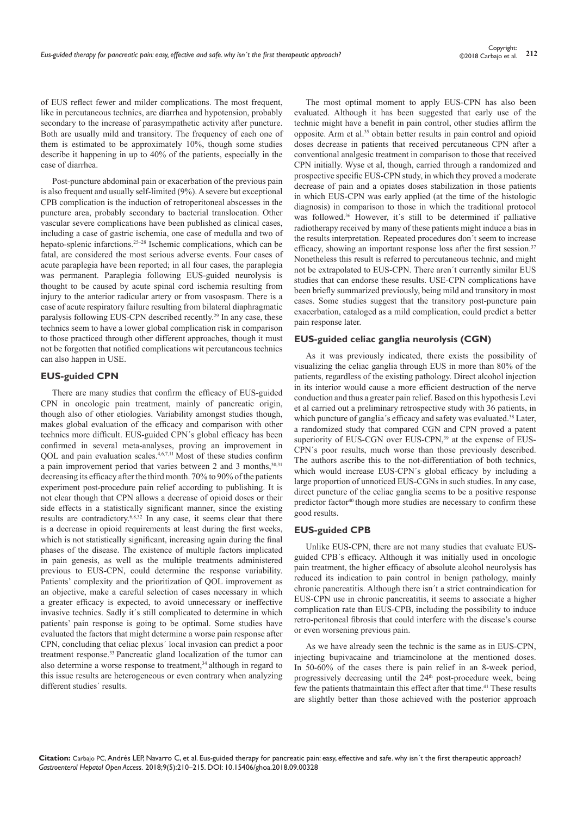of EUS reflect fewer and milder complications. The most frequent, like in percutaneous technics, are diarrhea and hypotension, probably secondary to the increase of parasympathetic activity after puncture. Both are usually mild and transitory. The frequency of each one of them is estimated to be approximately 10%, though some studies describe it happening in up to 40% of the patients, especially in the case of diarrhea.

Post-puncture abdominal pain or exacerbation of the previous pain is also frequent and usually self-limited (9%). A severe but exceptional CPB complication is the induction of retroperitoneal abscesses in the puncture area, probably secondary to bacterial translocation. Other vascular severe complications have been published as clinical cases, including a case of gastric ischemia, one case of medulla and two of hepato-splenic infarctions.<sup>25-28</sup> Ischemic complications, which can be fatal, are considered the most serious adverse events. Four cases of acute paraplegia have been reported; in all four cases, the paraplegia was permanent. Paraplegia following EUS-guided neurolysis is thought to be caused by acute spinal cord ischemia resulting from injury to the anterior radicular artery or from vasospasm. There is a case of acute respiratory failure resulting from bilateral diaphragmatic paralysis following EUS-CPN described recently.29 In any case, these technics seem to have a lower global complication risk in comparison to those practiced through other different approaches, though it must not be forgotten that notified complications wit percutaneous technics can also happen in USE.

## **EUS-guided CPN**

There are many studies that confirm the efficacy of EUS-guided CPN in oncologic pain treatment, mainly of pancreatic origin, though also of other etiologies. Variability amongst studies though, makes global evaluation of the efficacy and comparison with other technics more difficult. EUS-guided CPN´s global efficacy has been confirmed in several meta-analyses, proving an improvement in QOL and pain evaluation scales.4,6,7,11 Most of these studies confirm a pain improvement period that varies between 2 and 3 months, 30,31 decreasing its efficacy after the third month. 70% to 90% of the patients experiment post-procedure pain relief according to publishing. It is not clear though that CPN allows a decrease of opioid doses or their side effects in a statistically significant manner, since the existing results are contradictory.6,8,32 In any case, it seems clear that there is a decrease in opioid requirements at least during the first weeks, which is not statistically significant, increasing again during the final phases of the disease. The existence of multiple factors implicated in pain genesis, as well as the multiple treatments administered previous to EUS-CPN, could determine the response variability. Patients' complexity and the prioritization of QOL improvement as an objective, make a careful selection of cases necessary in which a greater efficacy is expected, to avoid unnecessary or ineffective invasive technics. Sadly it´s still complicated to determine in which patients' pain response is going to be optimal. Some studies have evaluated the factors that might determine a worse pain response after CPN, concluding that celiac plexus´ local invasion can predict a poor treatment response.<sup>33</sup> Pancreatic gland localization of the tumor can also determine a worse response to treatment,<sup>34</sup> although in regard to this issue results are heterogeneous or even contrary when analyzing different studies´ results.

The most optimal moment to apply EUS-CPN has also been evaluated. Although it has been suggested that early use of the technic might have a benefit in pain control, other studies affirm the opposite. Arm et al.<sup>35</sup> obtain better results in pain control and opioid doses decrease in patients that received percutaneous CPN after a conventional analgesic treatment in comparison to those that received CPN initially. Wyse et al, though, carried through a randomized and prospective specific EUS-CPN study, in which they proved a moderate decrease of pain and a opiates doses stabilization in those patients in which EUS-CPN was early applied (at the time of the histologic diagnosis) in comparison to those in which the traditional protocol was followed.<sup>36</sup> However, it's still to be determined if palliative radiotherapy received by many of these patients might induce a bias in the results interpretation. Repeated procedures don´t seem to increase efficacy, showing an important response loss after the first session.<sup>37</sup> Nonetheless this result is referred to percutaneous technic, and might not be extrapolated to EUS-CPN. There aren´t currently similar EUS studies that can endorse these results. USE-CPN complications have been briefly summarized previously, being mild and transitory in most cases. Some studies suggest that the transitory post-puncture pain exacerbation, cataloged as a mild complication, could predict a better pain response later.

#### **EUS-guided celiac ganglia neurolysis (CGN)**

As it was previously indicated, there exists the possibility of visualizing the celiac ganglia through EUS in more than 80% of the patients, regardless of the existing pathology. Direct alcohol injection in its interior would cause a more efficient destruction of the nerve conduction and thus a greater pain relief. Based on this hypothesis Levi et al carried out a preliminary retrospective study with 36 patients, in which puncture of ganglia's efficacy and safety was evaluated.<sup>38</sup> Later, a randomized study that compared CGN and CPN proved a patent superiority of EUS-CGN over EUS-CPN,<sup>39</sup> at the expense of EUS-CPN´s poor results, much worse than those previously described. The authors ascribe this to the not-differentiation of both technics, which would increase EUS-CPN´s global efficacy by including a large proportion of unnoticed EUS-CGNs in such studies. In any case, direct puncture of the celiac ganglia seems to be a positive response predictor factor<sup>40</sup> though more studies are necessary to confirm these good results.

#### **EUS-guided CPB**

Unlike EUS-CPN, there are not many studies that evaluate EUSguided CPB´s efficacy. Although it was initially used in oncologic pain treatment, the higher efficacy of absolute alcohol neurolysis has reduced its indication to pain control in benign pathology, mainly chronic pancreatitis. Although there isn´t a strict contraindication for EUS-CPN use in chronic pancreatitis, it seems to associate a higher complication rate than EUS-CPB, including the possibility to induce retro-peritoneal fibrosis that could interfere with the disease's course or even worsening previous pain.

As we have already seen the technic is the same as in EUS-CPN, injecting bupivacaine and triamcinolone at the mentioned doses. In 50-60% of the cases there is pain relief in an 8-week period, progressively decreasing until the  $24<sup>th</sup>$  post-procedure week, being few the patients thatmaintain this effect after that time.<sup>41</sup> These results are slightly better than those achieved with the posterior approach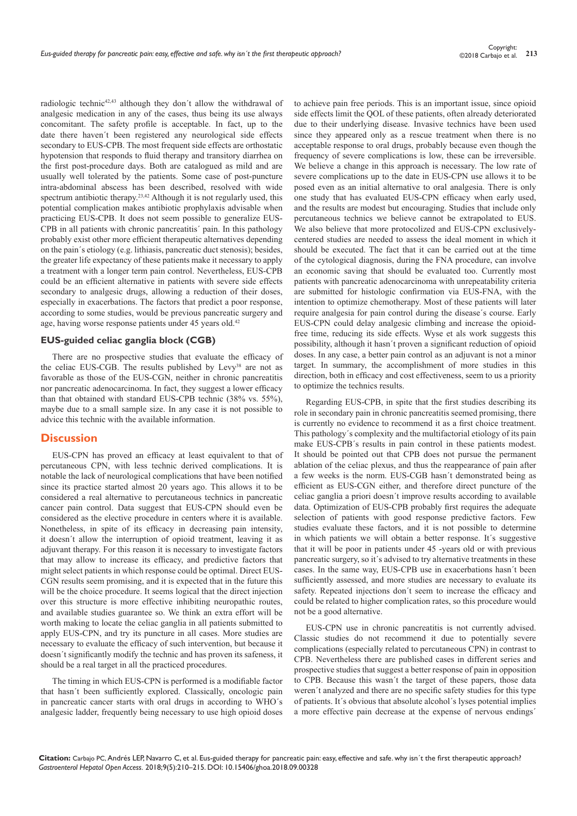radiologic technic<sup>42,43</sup> although they don't allow the withdrawal of analgesic medication in any of the cases, thus being its use always concomitant. The safety profile is acceptable. In fact, up to the date there haven´t been registered any neurological side effects secondary to EUS-CPB. The most frequent side effects are orthostatic hypotension that responds to fluid therapy and transitory diarrhea on the first post-procedure days. Both are catalogued as mild and are usually well tolerated by the patients. Some case of post-puncture intra-abdominal abscess has been described, resolved with wide spectrum antibiotic therapy.<sup>23,42</sup> Although it is not regularly used, this potential complication makes antibiotic prophylaxis advisable when practicing EUS-CPB. It does not seem possible to generalize EUS-CPB in all patients with chronic pancreatitis´ pain. In this pathology probably exist other more efficient therapeutic alternatives depending on the pain´s etiology (e.g. lithiasis, pancreatic duct stenosis); besides, the greater life expectancy of these patients make it necessary to apply a treatment with a longer term pain control. Nevertheless, EUS-CPB could be an efficient alternative in patients with severe side effects secondary to analgesic drugs, allowing a reduction of their doses, especially in exacerbations. The factors that predict a poor response, according to some studies, would be previous pancreatic surgery and age, having worse response patients under 45 years old.<sup>42</sup>

## **EUS-guided celiac ganglia block (CGB)**

There are no prospective studies that evaluate the efficacy of the celiac EUS-CGB. The results published by Levy<sup>38</sup> are not as favorable as those of the EUS-CGN, neither in chronic pancreatitis nor pancreatic adenocarcinoma. In fact, they suggest a lower efficacy than that obtained with standard EUS-CPB technic (38% vs. 55%), maybe due to a small sample size. In any case it is not possible to advice this technic with the available information.

## **Discussion**

EUS-CPN has proved an efficacy at least equivalent to that of percutaneous CPN, with less technic derived complications. It is notable the lack of neurological complications that have been notified since its practice started almost 20 years ago. This allows it to be considered a real alternative to percutaneous technics in pancreatic cancer pain control. Data suggest that EUS-CPN should even be considered as the elective procedure in centers where it is available. Nonetheless, in spite of its efficacy in decreasing pain intensity, it doesn´t allow the interruption of opioid treatment, leaving it as adjuvant therapy. For this reason it is necessary to investigate factors that may allow to increase its efficacy, and predictive factors that might select patients in which response could be optimal. Direct EUS-CGN results seem promising, and it is expected that in the future this will be the choice procedure. It seems logical that the direct injection over this structure is more effective inhibiting neuropathic routes, and available studies guarantee so. We think an extra effort will be worth making to locate the celiac ganglia in all patients submitted to apply EUS-CPN, and try its puncture in all cases. More studies are necessary to evaluate the efficacy of such intervention, but because it doesn´t significantly modify the technic and has proven its safeness, it should be a real target in all the practiced procedures.

The timing in which EUS-CPN is performed is a modifiable factor that hasn´t been sufficiently explored. Classically, oncologic pain in pancreatic cancer starts with oral drugs in according to WHO´s analgesic ladder, frequently being necessary to use high opioid doses

to achieve pain free periods. This is an important issue, since opioid side effects limit the QOL of these patients, often already deteriorated due to their underlying disease. Invasive technics have been used since they appeared only as a rescue treatment when there is no acceptable response to oral drugs, probably because even though the frequency of severe complications is low, these can be irreversible. We believe a change in this approach is necessary. The low rate of severe complications up to the date in EUS-CPN use allows it to be posed even as an initial alternative to oral analgesia. There is only one study that has evaluated EUS-CPN efficacy when early used, and the results are modest but encouraging. Studies that include only percutaneous technics we believe cannot be extrapolated to EUS. We also believe that more protocolized and EUS-CPN exclusivelycentered studies are needed to assess the ideal moment in which it should be executed. The fact that it can be carried out at the time of the cytological diagnosis, during the FNA procedure, can involve an economic saving that should be evaluated too. Currently most patients with pancreatic adenocarcinoma with unrepeatability criteria are submitted for histologic confirmation via EUS-FNA, with the intention to optimize chemotherapy. Most of these patients will later require analgesia for pain control during the disease´s course. Early EUS-CPN could delay analgesic climbing and increase the opioidfree time, reducing its side effects. Wyse et als work suggests this possibility, although it hasn´t proven a significant reduction of opioid doses. In any case, a better pain control as an adjuvant is not a minor target. In summary, the accomplishment of more studies in this direction, both in efficacy and cost effectiveness, seem to us a priority to optimize the technics results.

Regarding EUS-CPB, in spite that the first studies describing its role in secondary pain in chronic pancreatitis seemed promising, there is currently no evidence to recommend it as a first choice treatment. This pathology´s complexity and the multifactorial etiology of its pain make EUS-CPB´s results in pain control in these patients modest. It should be pointed out that CPB does not pursue the permanent ablation of the celiac plexus, and thus the reappearance of pain after a few weeks is the norm. EUS-CGB hasn´t demonstrated being as efficient as EUS-CGN either, and therefore direct puncture of the celiac ganglia a priori doesn´t improve results according to available data. Optimization of EUS-CPB probably first requires the adequate selection of patients with good response predictive factors. Few studies evaluate these factors, and it is not possible to determine in which patients we will obtain a better response. It´s suggestive that it will be poor in patients under 45 -years old or with previous pancreatic surgery, so it´s advised to try alternative treatments in these cases. In the same way, EUS-CPB use in exacerbations hasn´t been sufficiently assessed, and more studies are necessary to evaluate its safety. Repeated injections don´t seem to increase the efficacy and could be related to higher complication rates, so this procedure would not be a good alternative.

EUS-CPN use in chronic pancreatitis is not currently advised. Classic studies do not recommend it due to potentially severe complications (especially related to percutaneous CPN) in contrast to CPB. Nevertheless there are published cases in different series and prospective studies that suggest a better response of pain in opposition to CPB. Because this wasn´t the target of these papers, those data weren´t analyzed and there are no specific safety studies for this type of patients. It´s obvious that absolute alcohol´s lyses potential implies a more effective pain decrease at the expense of nervous endings´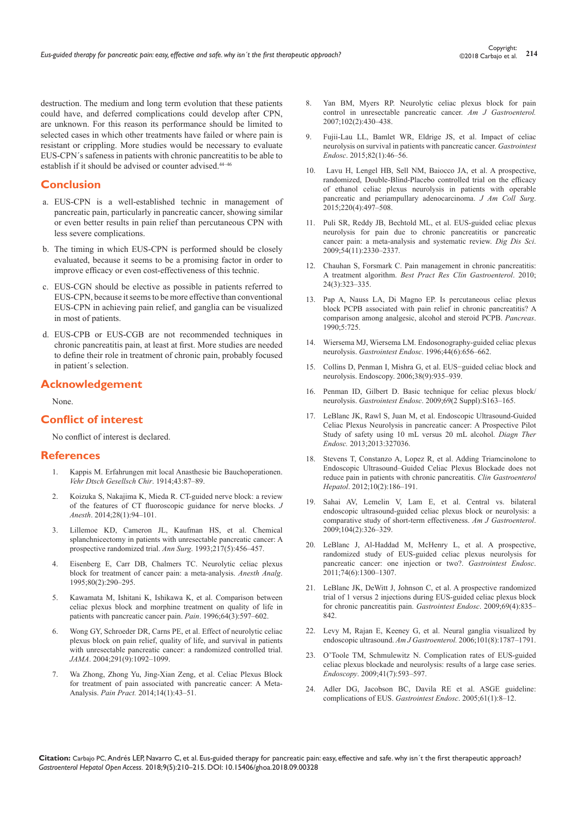destruction. The medium and long term evolution that these patients could have, and deferred complications could develop after CPN, are unknown. For this reason its performance should be limited to selected cases in which other treatments have failed or where pain is resistant or crippling. More studies would be necessary to evaluate EUS-CPN´s safeness in patients with chronic pancreatitis to be able to establish if it should be advised or counter advised.44–46

## **Conclusion**

- a. EUS-CPN is a well-established technic in management of pancreatic pain, particularly in pancreatic cancer, showing similar or even better results in pain relief than percutaneous CPN with less severe complications.
- b. The timing in which EUS-CPN is performed should be closely evaluated, because it seems to be a promising factor in order to improve efficacy or even cost-effectiveness of this technic.
- c. EUS-CGN should be elective as possible in patients referred to EUS-CPN, because it seems to be more effective than conventional EUS-CPN in achieving pain relief, and ganglia can be visualized in most of patients.
- d. EUS-CPB or EUS-CGB are not recommended techniques in chronic pancreatitis pain, at least at first. More studies are needed to define their role in treatment of chronic pain, probably focused in patient´s selection.

## **Acknowledgement**

None.

## **Conflict of interest**

No conflict of interest is declared.

### **References**

- 1. [Kappis M. Erfahrungen mit local Anasthesie bie Bauchoperationen.](https://www.scopus.com/record/display.uri?eid=2-s2.0-0001917569&origin=inward&txGid=eada0f8ccbbc8f3332a776b8ac47c08c)  *[Vehr Dtsch Gesellsch Chir](https://www.scopus.com/record/display.uri?eid=2-s2.0-0001917569&origin=inward&txGid=eada0f8ccbbc8f3332a776b8ac47c08c)*. 1914;43:87–89.
- 2. [Koizuka S, Nakajima K, Mieda R. CT-guided nerve block: a review](https://www.ncbi.nlm.nih.gov/pubmed/23873005)  [of the features of CT fluoroscopic guidance for nerve blocks.](https://www.ncbi.nlm.nih.gov/pubmed/23873005) *J Anesth*[. 2014;28\(1\):94–101.](https://www.ncbi.nlm.nih.gov/pubmed/23873005)
- Lillemoe KD, Cameron JL, Kaufman HS, et al. Chemical [splanchnicectomy in patients with unresectable pancreatic cancer: A](https://www.ncbi.nlm.nih.gov/pubmed/7683868)  [prospective randomized trial.](https://www.ncbi.nlm.nih.gov/pubmed/7683868) *Ann Surg*. 1993;217(5):456–457.
- 4. [Eisenberg E, Carr DB, Chalmers TC. Neurolytic celiac plexus](https://www.ncbi.nlm.nih.gov/pubmed/7818115)  [block for treatment of cancer pain: a meta-analysis.](https://www.ncbi.nlm.nih.gov/pubmed/7818115) *Anesth Analg*. [1995;80\(2\):290–295.](https://www.ncbi.nlm.nih.gov/pubmed/7818115)
- 5. [Kawamata M, Ishitani K, Ishikawa K, et al. Comparison between](https://www.ncbi.nlm.nih.gov/pubmed/8783327)  [celiac plexus block and morphine treatment on quality of life in](https://www.ncbi.nlm.nih.gov/pubmed/8783327)  [patients with pancreatic cancer pain.](https://www.ncbi.nlm.nih.gov/pubmed/8783327) *Pain*. 1996;64(3):597–602.
- 6. [Wong GY, Schroeder DR, Carns PE, et al. Effect of neurolytic celiac](https://www.ncbi.nlm.nih.gov/pubmed/14996778)  [plexus block on pain relief, quality of life, and survival in patients](https://www.ncbi.nlm.nih.gov/pubmed/14996778)  [with unresectable pancreatic cancer: a randomized controlled trial.](https://www.ncbi.nlm.nih.gov/pubmed/14996778)  *JAMA*[. 2004;291\(9\):1092–1099.](https://www.ncbi.nlm.nih.gov/pubmed/14996778)
- 7. [Wa Zhong, Zhong Yu, Jing-Xian Zeng, et al. Celiac Plexus Block](https://www.ncbi.nlm.nih.gov/pubmed/23682788)  [for treatment of pain associated with pancreatic cancer: A Meta-](https://www.ncbi.nlm.nih.gov/pubmed/23682788)Analysis. *Pain Pract.* [2014;14\(1\):43–51.](https://www.ncbi.nlm.nih.gov/pubmed/23682788)
- 8. [Yan BM, Myers RP. Neurolytic celiac plexus block for pain](https://www.ncbi.nlm.nih.gov/pubmed/17100960)  [control in unresectable pancreatic cancer.](https://www.ncbi.nlm.nih.gov/pubmed/17100960) *Am J Gastroenterol.* [2007;102\(2\):430–438.](https://www.ncbi.nlm.nih.gov/pubmed/17100960)
- 9. [Fujii-Lau LL, Bamlet WR, Eldrige JS, et al. Impact of celiac](https://www.ncbi.nlm.nih.gov/pubmed/25800661)  [neurolysis on survival in patients with pancreatic cancer.](https://www.ncbi.nlm.nih.gov/pubmed/25800661) *Gastrointest Endosc*[. 2015;82\(1\):46–56.](https://www.ncbi.nlm.nih.gov/pubmed/25800661)
- 10. [Lavu H, Lengel HB, Sell NM, Baiocco JA, et al. A prospective,](https://www.ncbi.nlm.nih.gov/pubmed/25667135)  [randomized, Double-Blind-Placebo controlled trial on the efficacy](https://www.ncbi.nlm.nih.gov/pubmed/25667135)  [of ethanol celiac plexus neurolysis in patients with operable](https://www.ncbi.nlm.nih.gov/pubmed/25667135)  [pancreatic and periampullary adenocarcinoma.](https://www.ncbi.nlm.nih.gov/pubmed/25667135) *J Am Coll Surg*.  $2015;220(4):497-508.$
- 11. [Puli SR, Reddy JB, Bechtold ML, et al. EUS-guided celiac plexus](https://www.ncbi.nlm.nih.gov/pubmed/19137428)  neurolysis for pain due to chronic pancreatitis or pancreatic [cancer pain: a meta-analysis and systematic review.](https://www.ncbi.nlm.nih.gov/pubmed/19137428) *Dig Dis Sci*. [2009;54\(11\):2330–2337.](https://www.ncbi.nlm.nih.gov/pubmed/19137428)
- 12. [Chauhan S, Forsmark C. Pain management in chronic pancreatitis:](https://www.ncbi.nlm.nih.gov/pubmed/20510832)  A treatment algorithm. *[Best Pract Res Clin Gastroenterol](https://www.ncbi.nlm.nih.gov/pubmed/20510832)*. 2010; [24\(3\):323–335.](https://www.ncbi.nlm.nih.gov/pubmed/20510832)
- 13. Pap A, Nauss LA, Di Magno EP. Is percutaneous celiac plexus block PCPB associated with pain relief in chronic pancreatitis? A comparison among analgesic, alcohol and steroid PCPB. *Pancreas*.  $1990.5.725$
- 14. [Wiersema MJ, Wiersema LM. Endosonography-guided celiac plexus](https://www.ncbi.nlm.nih.gov/pubmed/8979053)  neurolysis. *Gastrointest Endosc*[. 1996;44\(6\):656–662.](https://www.ncbi.nlm.nih.gov/pubmed/8979053)
- 15. [Collins D, Penman I, Mishra G, et al. EUS−guided celiac block and](https://www.ncbi.nlm.nih.gov/pubmed/16981114)  [neurolysis. Endoscopy. 2006;38\(9\):935–939.](https://www.ncbi.nlm.nih.gov/pubmed/16981114)
- 16. [Penman ID, Gilbert D. Basic technique for celiac plexus block/](https://www.ncbi.nlm.nih.gov/pubmed/19179148) neurolysis. *Gastrointest Endosc*[. 2009;69\(2 Suppl\):S163–165.](https://www.ncbi.nlm.nih.gov/pubmed/19179148)
- 17. [LeBlanc JK, Rawl S, Juan M, et al. Endoscopic Ultrasound-Guided](https://www.ncbi.nlm.nih.gov/pubmed/23365492)  [Celiac Plexus Neurolysis in pancreatic cancer: A Prospective Pilot](https://www.ncbi.nlm.nih.gov/pubmed/23365492)  [Study of safety using 10 mL versus 20 mL alcohol.](https://www.ncbi.nlm.nih.gov/pubmed/23365492) *Diagn Ther Endosc.* [2013;2013:327036.](https://www.ncbi.nlm.nih.gov/pubmed/23365492)
- 18. [Stevens T, Constanzo A, Lopez R, et al. Adding Triamcinolone to](https://www.ncbi.nlm.nih.gov/pubmed/21946121)  [Endoscopic Ultrasound–Guided Celiac Plexus Blockade does not](https://www.ncbi.nlm.nih.gov/pubmed/21946121)  [reduce pain in patients with chronic pancreatitis.](https://www.ncbi.nlm.nih.gov/pubmed/21946121) *Clin Gastroenterol Hepatol*[. 2012;10\(2\):186–191.](https://www.ncbi.nlm.nih.gov/pubmed/21946121)
- 19. [Sahai AV, Lemelin V, Lam E, et al. Central vs. bilateral](https://www.ncbi.nlm.nih.gov/pubmed/19174816)  [endoscopic ultrasound-guided celiac plexus block or neurolysis: a](https://www.ncbi.nlm.nih.gov/pubmed/19174816)  [comparative study of short-term effectiveness.](https://www.ncbi.nlm.nih.gov/pubmed/19174816) *Am J Gastroenterol*. [2009;104\(2\):326–329.](https://www.ncbi.nlm.nih.gov/pubmed/19174816)
- 20. [LeBlanc J, Al-Haddad M, McHenry L, et al. A prospective,](https://www.ncbi.nlm.nih.gov/pubmed/22000795)  [randomized study of EUS-guided celiac plexus neurolysis for](https://www.ncbi.nlm.nih.gov/pubmed/22000795)  [pancreatic cancer: one injection or two?.](https://www.ncbi.nlm.nih.gov/pubmed/22000795) *Gastrointest Endosc*. [2011;74\(6\):1300–1307.](https://www.ncbi.nlm.nih.gov/pubmed/22000795)
- 21. [LeBlanc JK, DeWitt J, Johnson C, et al. A prospective randomized](http://www.ncbi.nlm.nih.gov/pubmed/19136101)  [trial of 1 versus 2 injections during EUS-guided celiac plexus block](http://www.ncbi.nlm.nih.gov/pubmed/19136101)  [for chronic pancreatitis pain.](http://www.ncbi.nlm.nih.gov/pubmed/19136101) *Gastrointest Endosc*. 2009;69(4):835– [842.](http://www.ncbi.nlm.nih.gov/pubmed/19136101)
- 22. [Levy M, Rajan E, Keeney G, et al. Neural ganglia visualized by](http://www.ncbi.nlm.nih.gov/pubmed/16780554)  endoscopic ultrasound. *Am J Gastroenterol.* [2006;101\(8\):1787–1791.](http://www.ncbi.nlm.nih.gov/pubmed/16780554)
- 23. [O'Toole TM, Schmulewitz N. Complication rates of EUS-guided](http://www.ncbi.nlm.nih.gov/pubmed/19588286)  [celiac plexus blockade and neurolysis: results of a large case series.](http://www.ncbi.nlm.nih.gov/pubmed/19588286)  *Endoscopy*[. 2009;41\(7\):593–597.](http://www.ncbi.nlm.nih.gov/pubmed/19588286)
- 24. [Adler DG, Jacobson BC, Davila RE et al. ASGE guideline:](http://www.ncbi.nlm.nih.gov/pubmed/15672049)  [complications of EUS.](http://www.ncbi.nlm.nih.gov/pubmed/15672049) *Gastrointest Endosc*. 2005;61(1):8–12.